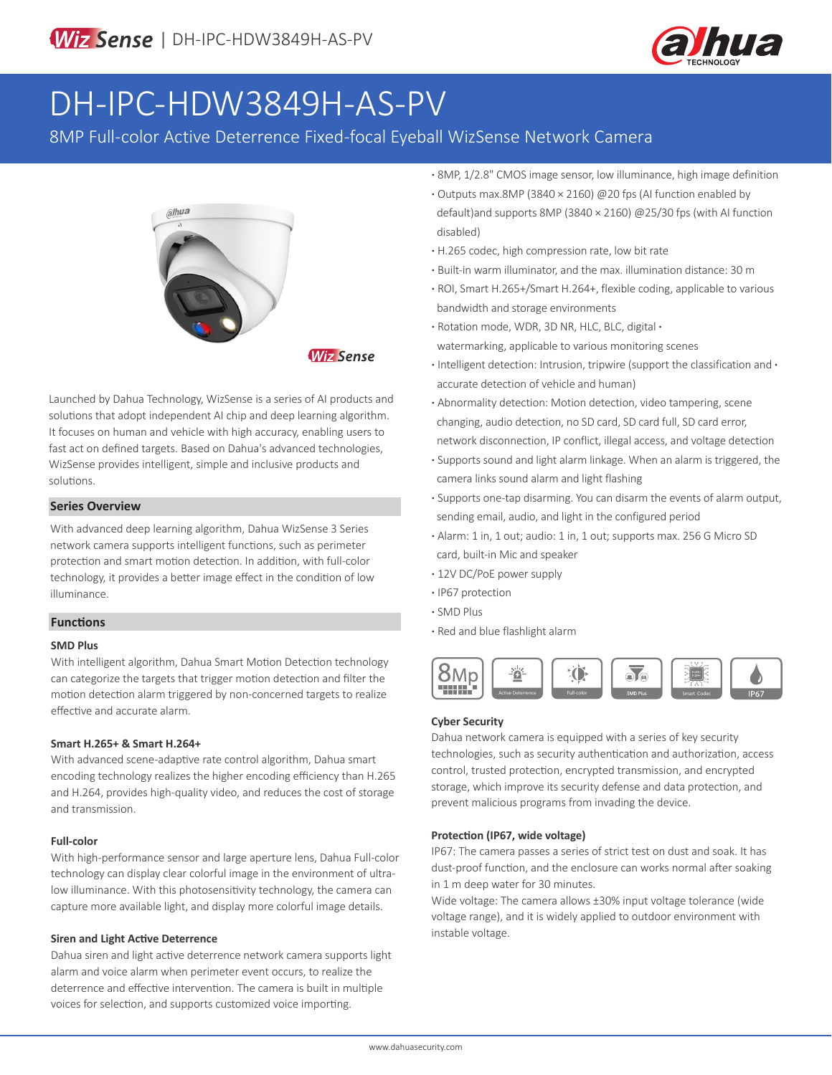

# DH-IPC-HDW3849H-AS-PV

8MP Full-color Active Deterrence Fixed-focal Eyeball WizSense Network Camera



**Wiz Sense** 

Launched by Dahua Technology, WizSense is a series of AI products and solutions that adopt independent AI chip and deep learning algorithm. It focuses on human and vehicle with high accuracy, enabling users to fast act on defined targets. Based on Dahua's advanced technologies, WizSense provides intelligent, simple and inclusive products and solutions.

#### **Series Overview**

With advanced deep learning algorithm, Dahua WizSense 3 Series network camera supports intelligent functions, such as perimeter protection and smart motion detection. In addition, with full-color technology, it provides a better image effect in the condition of low illuminance.

#### **Functions**

#### **SMD Plus**

With intelligent algorithm, Dahua Smart Motion Detection technology can categorize the targets that trigger motion detection and filter the motion detection alarm triggered by non-concerned targets to realize effective and accurate alarm.

#### **Smart H.265+ & Smart H.264+**

With advanced scene-adaptive rate control algorithm, Dahua smart encoding technology realizes the higher encoding efficiency than H.265 and H.264, provides high-quality video, and reduces the cost of storage and transmission.

#### **Full-color**

With high-performance sensor and large aperture lens, Dahua Full-color technology can display clear colorful image in the environment of ultralow illuminance. With this photosensitivity technology, the camera can capture more available light, and display more colorful image details.

#### **Siren and Light Active Deterrence**

Dahua siren and light active deterrence network camera supports light alarm and voice alarm when perimeter event occurs, to realize the deterrence and effective intervention. The camera is built in multiple voices for selection, and supports customized voice importing.

- **·** 8MP, 1/2.8" CMOS image sensor, low illuminance, high image definition
- **·** Outputs max.8MP (3840 × 2160) @20 fps (AI function enabled by default)and supports 8MP (3840 × 2160) @25/30 fps (with AI function disabled)
- **·** H.265 codec, high compression rate, low bit rate
- **·** Built-in warm illuminator, and the max. illumination distance: 30 m
- **·** ROI, Smart H.265+/Smart H.264+, flexible coding, applicable to various bandwidth and storage environments
- **·** Rotation mode, WDR, 3D NR, HLC, BLC, digital **·**

watermarking, applicable to various monitoring scenes

- **·** Intelligent detection: Intrusion, tripwire (support the classification and **·** accurate detection of vehicle and human)
- **·** Abnormality detection: Motion detection, video tampering, scene changing, audio detection, no SD card, SD card full, SD card error, network disconnection, IP conflict, illegal access, and voltage detection
- **·** Supports sound and light alarm linkage. When an alarm is triggered, the camera links sound alarm and light flashing
- **·** Supports one-tap disarming. You can disarm the events of alarm output, sending email, audio, and light in the configured period
- **·** Alarm: 1 in, 1 out; audio: 1 in, 1 out; supports max. 256 G Micro SD card, built-in Mic and speaker
- **·** 12V DC/PoE power supply
- **·** IP67 protection
- **·** SMD Plus
- **·** Red and blue flashlight alarm



#### **Cyber Security**

Dahua network camera is equipped with a series of key security technologies, such as security authentication and authorization, access control, trusted protection, encrypted transmission, and encrypted storage, which improve its security defense and data protection, and prevent malicious programs from invading the device.

#### **Protection (IP67, wide voltage)**

IP67: The camera passes a series of strict test on dust and soak. It has dust-proof function, and the enclosure can works normal after soaking in 1 m deep water for 30 minutes.

Wide voltage: The camera allows ±30% input voltage tolerance (wide voltage range), and it is widely applied to outdoor environment with instable voltage.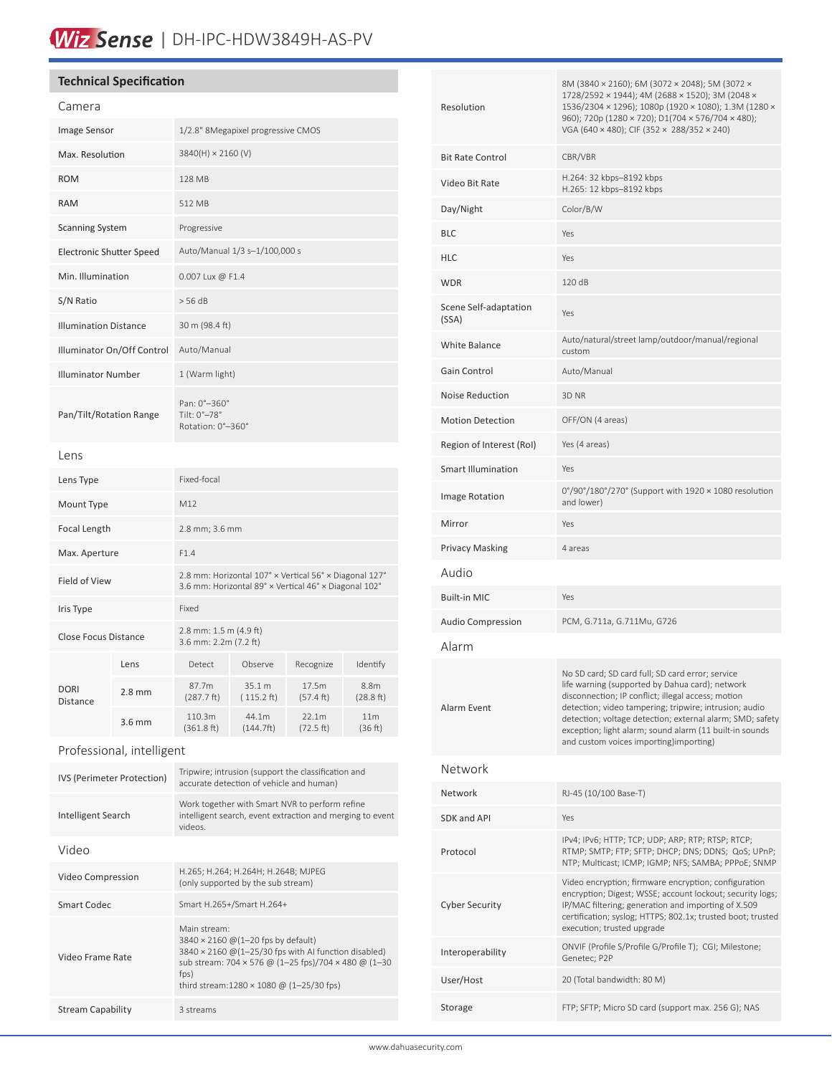## Wiz Sense | DH-IPC-HDW3849H-AS-PV

#### **Technical Specification**

| Camera                                              |          |                                                                                                                 |                                |                    |                   |
|-----------------------------------------------------|----------|-----------------------------------------------------------------------------------------------------------------|--------------------------------|--------------------|-------------------|
| <b>Image Sensor</b>                                 |          | 1/2.8" 8Megapixel progressive CMOS                                                                              |                                |                    |                   |
| Max. Resolution                                     |          | 3840(H) × 2160 (V)                                                                                              |                                |                    |                   |
| <b>ROM</b>                                          |          | <b>128 MB</b>                                                                                                   |                                |                    |                   |
| <b>RAM</b>                                          |          | 512 MB                                                                                                          |                                |                    |                   |
| <b>Scanning System</b>                              |          | Progressive                                                                                                     |                                |                    |                   |
| <b>Electronic Shutter Speed</b>                     |          | Auto/Manual 1/3 s-1/100,000 s                                                                                   |                                |                    |                   |
| Min. Illumination                                   |          | 0.007 Lux @ F1.4                                                                                                |                                |                    |                   |
| S/N Ratio                                           |          | > 56 dB                                                                                                         |                                |                    |                   |
| <b>Illumination Distance</b>                        |          | 30 m (98.4 ft)                                                                                                  |                                |                    |                   |
| Illuminator On/Off Control                          |          | Auto/Manual                                                                                                     |                                |                    |                   |
| <b>Illuminator Number</b>                           |          | 1 (Warm light)                                                                                                  |                                |                    |                   |
| Pan/Tilt/Rotation Range                             |          | Pan: 0°-360°<br>Tilt: 0°-78°<br>Rotation: 0°-360°                                                               |                                |                    |                   |
| Lens                                                |          |                                                                                                                 |                                |                    |                   |
| Lens Type                                           |          | Fixed-focal                                                                                                     |                                |                    |                   |
| Mount Type                                          |          | M12                                                                                                             |                                |                    |                   |
| Focal Length                                        |          | 2.8 mm; 3.6 mm                                                                                                  |                                |                    |                   |
| Max. Aperture                                       |          | F1.4                                                                                                            |                                |                    |                   |
| <b>Field of View</b>                                |          | 2.8 mm: Horizontal 107° x Vertical 56° x Diagonal 127°<br>3.6 mm: Horizontal 89° x Vertical 46° x Diagonal 102° |                                |                    |                   |
| Iris Type                                           |          | Fixed                                                                                                           |                                |                    |                   |
| Close Focus Distance                                |          | 2.8 mm: 1.5 m (4.9 ft)<br>3.6 mm: 2.2m (7.2 ft)                                                                 |                                |                    |                   |
| <b>DORI</b><br>Distance                             | Lens     | Detect                                                                                                          | Observe                        | Recognize          | Identify          |
|                                                     | $2.8$ mm | 87.7m<br>(287.7 ft)                                                                                             | 35.1 m<br>$(115.2 \text{ ft})$ | 17.5m<br>(57.4 ft) | 8.8m<br>(28.8 ft) |
|                                                     | $3.6$ mm | 110.3m<br>(361.8 ft)                                                                                            | 44.1m<br>(144.7ft)             | 22.1m<br>(72.5 ft) | 11m<br>(36 ft)    |
| Professional, intelligent                           |          |                                                                                                                 |                                |                    |                   |
| Trinition interioral compact the eleccification and |          |                                                                                                                 |                                |                    |                   |

| <b>IVS (Perimeter Protection)</b> | Tripwire; intrusion (support the classification and<br>accurate detection of vehicle and human)                                                                                                                                      |
|-----------------------------------|--------------------------------------------------------------------------------------------------------------------------------------------------------------------------------------------------------------------------------------|
| Intelligent Search                | Work together with Smart NVR to perform refine<br>intelligent search, event extraction and merging to event<br>videos.                                                                                                               |
| Video                             |                                                                                                                                                                                                                                      |
| Video Compression                 | H.265; H.264; H.264H; H.264B; MJPEG<br>(only supported by the sub stream)                                                                                                                                                            |
| <b>Smart Codec</b>                | Smart H.265+/Smart H.264+                                                                                                                                                                                                            |
| Video Frame Rate                  | Main stream:<br>$3840 \times 2160$ @(1-20 fps by default)<br>$3840 \times 2160$ @(1-25/30 fps with AI function disabled)<br>sub stream: 704 x 576 @ (1-25 fps)/704 x 480 @ (1-30<br>fps)<br>third stream:1280 × 1080 @ (1-25/30 fps) |
| <b>Stream Capability</b>          | 3 streams                                                                                                                                                                                                                            |

| Resolution                     | 8M (3840 × 2160); 6M (3072 × 2048); 5M (3072 ×<br>1728/2592 × 1944); 4M (2688 × 1520); 3M (2048 ×<br>1536/2304 × 1296); 1080p (1920 × 1080); 1.3M (1280 ×<br>960); 720p (1280 × 720); D1(704 × 576/704 × 480);<br>VGA (640 × 480); CIF (352 × 288/352 × 240)                                                                                                                          |
|--------------------------------|---------------------------------------------------------------------------------------------------------------------------------------------------------------------------------------------------------------------------------------------------------------------------------------------------------------------------------------------------------------------------------------|
| <b>Bit Rate Control</b>        | CBR/VBR                                                                                                                                                                                                                                                                                                                                                                               |
| Video Bit Rate                 | H.264: 32 kbps-8192 kbps<br>H.265: 12 kbps-8192 kbps                                                                                                                                                                                                                                                                                                                                  |
| Day/Night                      | Color/B/W                                                                                                                                                                                                                                                                                                                                                                             |
| <b>BLC</b>                     | Yes                                                                                                                                                                                                                                                                                                                                                                                   |
| <b>HLC</b>                     | Yes                                                                                                                                                                                                                                                                                                                                                                                   |
| <b>WDR</b>                     | 120 dB                                                                                                                                                                                                                                                                                                                                                                                |
| Scene Self-adaptation<br>(SSA) | Yes                                                                                                                                                                                                                                                                                                                                                                                   |
| <b>White Balance</b>           | Auto/natural/street lamp/outdoor/manual/regional<br>custom                                                                                                                                                                                                                                                                                                                            |
| Gain Control                   | Auto/Manual                                                                                                                                                                                                                                                                                                                                                                           |
| Noise Reduction                | 3D <sub>NR</sub>                                                                                                                                                                                                                                                                                                                                                                      |
| <b>Motion Detection</b>        | OFF/ON (4 areas)                                                                                                                                                                                                                                                                                                                                                                      |
| Region of Interest (RoI)       | Yes (4 areas)                                                                                                                                                                                                                                                                                                                                                                         |
| <b>Smart Illumination</b>      | Yes                                                                                                                                                                                                                                                                                                                                                                                   |
| Image Rotation                 | $0^{\circ}/90^{\circ}/180^{\circ}/270^{\circ}$ (Support with 1920 $\times$ 1080 resolution<br>and lower)                                                                                                                                                                                                                                                                              |
| Mirror                         | Yes                                                                                                                                                                                                                                                                                                                                                                                   |
| <b>Privacy Masking</b>         | 4 areas                                                                                                                                                                                                                                                                                                                                                                               |
| Audio                          |                                                                                                                                                                                                                                                                                                                                                                                       |
| <b>Built-in MIC</b>            | Yes                                                                                                                                                                                                                                                                                                                                                                                   |
| <b>Audio Compression</b>       | PCM, G.711a, G.711Mu, G726                                                                                                                                                                                                                                                                                                                                                            |
| Alarm                          |                                                                                                                                                                                                                                                                                                                                                                                       |
| Alarm Event                    | No SD card; SD card full; SD card error; service<br>life warning (supported by Dahua card); network<br>disconnection; IP conflict; illegal access; motion<br>detection; video tampering; tripwire; intrusion; audio<br>detection; voltage detection; external alarm; SMD; safety<br>exception; light alarm; sound alarm (11 built-in sounds<br>and custom voices importing)importing) |
| Network                        |                                                                                                                                                                                                                                                                                                                                                                                       |
| Network                        | RJ-45 (10/100 Base-T)                                                                                                                                                                                                                                                                                                                                                                 |
| SDK and API                    | Yes                                                                                                                                                                                                                                                                                                                                                                                   |
| Protocol                       | IPv4; IPv6; HTTP; TCP; UDP; ARP; RTP; RTSP; RTCP;<br>RTMP; SMTP; FTP; SFTP; DHCP; DNS; DDNS; QoS; UPnP;<br>NTP; Multicast; ICMP; IGMP; NFS; SAMBA; PPPoE; SNMP                                                                                                                                                                                                                        |
| <b>Cyber Security</b>          | Video encryption; firmware encryption; configuration<br>encryption; Digest; WSSE; account lockout; security logs;<br>IP/MAC filtering; generation and importing of X.509<br>certification; syslog; HTTPS; 802.1x; trusted boot; trusted<br>execution; trusted upgrade                                                                                                                 |
| Interoperability               | ONVIF (Profile S/Profile G/Profile T); CGI; Milestone;<br>Genetec; P2P                                                                                                                                                                                                                                                                                                                |
| User/Host                      | 20 (Total bandwidth: 80 M)                                                                                                                                                                                                                                                                                                                                                            |
| Storage                        | FTP; SFTP; Micro SD card (support max. 256 G); NAS                                                                                                                                                                                                                                                                                                                                    |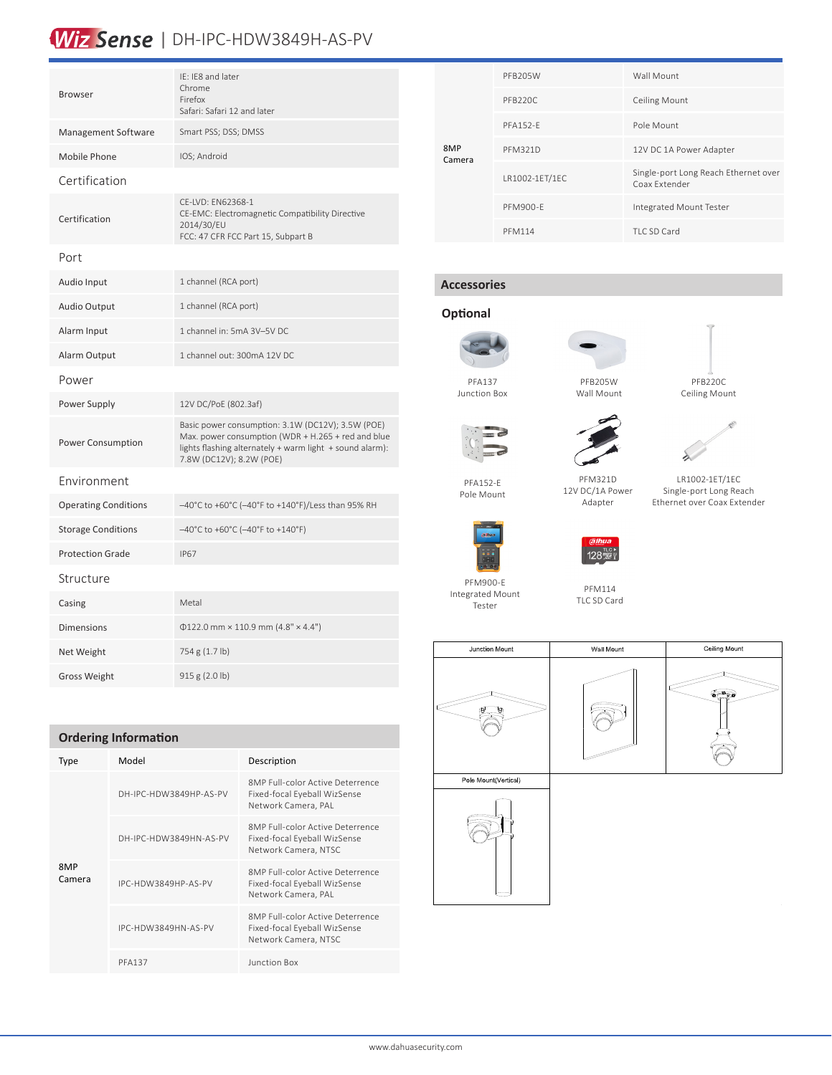### Wiz Sense | DH-IPC-HDW3849H-AS-PV

| <b>Browser</b>              | IE: IE8 and later<br>Chrome<br>Firefox<br>Safari: Safari 12 and later                                                                                                                           |  |
|-----------------------------|-------------------------------------------------------------------------------------------------------------------------------------------------------------------------------------------------|--|
| Management Software         | Smart PSS; DSS; DMSS                                                                                                                                                                            |  |
| Mobile Phone                | IOS: Android                                                                                                                                                                                    |  |
| Certification               |                                                                                                                                                                                                 |  |
| Certification               | CE-LVD: EN62368-1<br>CE-EMC: Electromagnetic Compatibility Directive<br>2014/30/EU<br>FCC: 47 CFR FCC Part 15, Subpart B                                                                        |  |
| Port                        |                                                                                                                                                                                                 |  |
| Audio Input                 | 1 channel (RCA port)                                                                                                                                                                            |  |
| Audio Output                | 1 channel (RCA port)                                                                                                                                                                            |  |
| Alarm Input                 | 1 channel in: 5mA 3V-5V DC                                                                                                                                                                      |  |
| Alarm Output                | 1 channel out: 300mA 12V DC                                                                                                                                                                     |  |
| Power                       |                                                                                                                                                                                                 |  |
| Power Supply                | 12V DC/PoE (802.3af)                                                                                                                                                                            |  |
| Power Consumption           | Basic power consumption: 3.1W (DC12V); 3.5W (POE)<br>Max. power consumption (WDR + H.265 + red and blue<br>lights flashing alternately + warm light + sound alarm):<br>7.8W (DC12V); 8.2W (POE) |  |
| Environment                 |                                                                                                                                                                                                 |  |
| <b>Operating Conditions</b> | -40°C to +60°C (-40°F to +140°F)/Less than 95% RH                                                                                                                                               |  |
| <b>Storage Conditions</b>   | -40°C to +60°C (-40°F to +140°F)                                                                                                                                                                |  |
| <b>Protection Grade</b>     | <b>IP67</b>                                                                                                                                                                                     |  |
| Structure                   |                                                                                                                                                                                                 |  |
| Casing                      | Metal                                                                                                                                                                                           |  |
| <b>Dimensions</b>           | $\Phi$ 122.0 mm × 110.9 mm (4.8" × 4.4")                                                                                                                                                        |  |
| Net Weight                  | 754 g (1.7 lb)                                                                                                                                                                                  |  |
| <b>Gross Weight</b>         | 915 g (2.0 lb)                                                                                                                                                                                  |  |
|                             |                                                                                                                                                                                                 |  |

| 8MP<br>Camera | PFB205W             | Wall Mount                                            |
|---------------|---------------------|-------------------------------------------------------|
|               | PFB <sub>220C</sub> | <b>Ceiling Mount</b>                                  |
|               | <b>PFA152-F</b>     | Pole Mount                                            |
|               | <b>PFM321D</b>      | 12V DC 1A Power Adapter                               |
|               | LR1002-1ET/1EC      | Single-port Long Reach Ethernet over<br>Coax Extender |
|               | <b>PFM900-E</b>     | Integrated Mount Tester                               |
|               | <b>PFM114</b>       | TLC SD Card                                           |

#### **Accessories**

#### **Optional**



PFA152-E Pole Mount

Tester

PFA137 Junction Box





Ceiling Mount



PFM321D 12V DC/1A Power Adapter





LR1002-1ET/1EC Single-port Long Reach Ethernet over Coax Extender

à



PFM900-E Integrated Mount

PFM114 TLC SD Card



| <b>Ordering Information</b> |                        |                                                                                          |  |  |
|-----------------------------|------------------------|------------------------------------------------------------------------------------------|--|--|
| Type                        | Model                  | Description                                                                              |  |  |
| 8MP<br>Camera               | DH-IPC-HDW3849HP-AS-PV | 8MP Full-color Active Deterrence<br>Fixed-focal Eyeball WizSense<br>Network Camera, PAL  |  |  |
|                             | DH-IPC-HDW3849HN-AS-PV | 8MP Full-color Active Deterrence<br>Fixed-focal Eyeball WizSense<br>Network Camera, NTSC |  |  |
|                             | IPC-HDW3849HP-AS-PV    | 8MP Full-color Active Deterrence<br>Fixed-focal Eyeball WizSense<br>Network Camera, PAL  |  |  |
|                             | IPC-HDW3849HN-AS-PV    | 8MP Full-color Active Deterrence<br>Fixed-focal Eyeball WizSense<br>Network Camera, NTSC |  |  |
|                             | <b>PFA137</b>          | Junction Box                                                                             |  |  |

Junction Mount Wall Mount Pole Mount(Vertical)